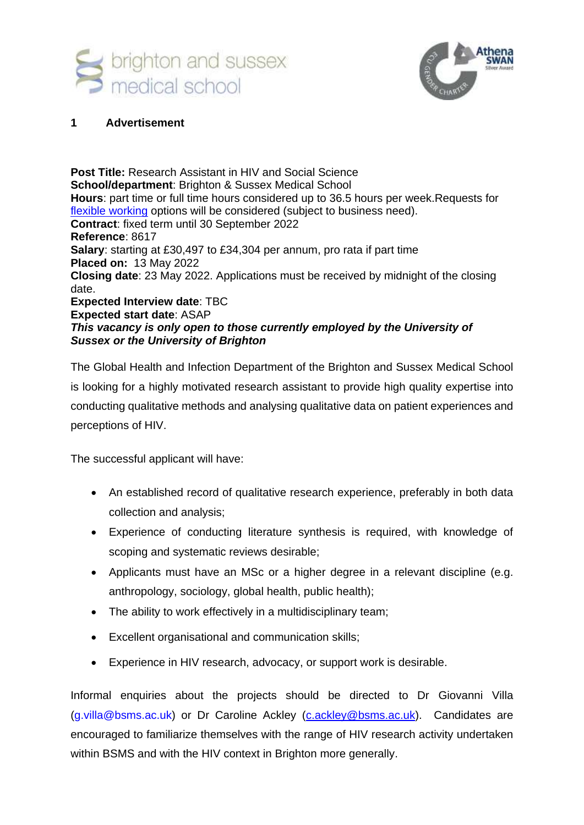



### **1 Advertisement**

**Post Title:** Research Assistant in HIV and Social Science **School/department**: Brighton & Sussex Medical School **Hours**: part time or full time hours considered up to 36.5 hours per week.Requests for [flexible working](http://www.sussex.ac.uk/humanresources/personnel/flexible-working) options will be considered (subject to business need). **Contract**: fixed term until 30 September 2022 **Reference**: 8617 **Salary**: starting at £30,497 to £34,304 per annum, pro rata if part time **Placed on:** 13 May 2022 **Closing date**: 23 May 2022. Applications must be received by midnight of the closing date. **Expected Interview date**: TBC **Expected start date**: ASAP *This vacancy is only open to those currently employed by the University of Sussex or the University of Brighton*

The Global Health and Infection Department of the Brighton and Sussex Medical School is looking for a highly motivated research assistant to provide high quality expertise into conducting qualitative methods and analysing qualitative data on patient experiences and perceptions of HIV.

The successful applicant will have:

- An established record of qualitative research experience, preferably in both data collection and analysis;
- Experience of conducting literature synthesis is required, with knowledge of scoping and systematic reviews desirable;
- Applicants must have an MSc or a higher degree in a relevant discipline (e.g. anthropology, sociology, global health, public health);
- The ability to work effectively in a multidisciplinary team;
- Excellent organisational and communication skills;
- Experience in HIV research, advocacy, or support work is desirable.

Informal enquiries about the projects should be directed to Dr Giovanni Villa (g.villa@bsms.ac.uk) or Dr Caroline Ackley [\(c.ackley@bsms.ac.uk\)](mailto:c.ackley@bsms.ac.uk). Candidates are encouraged to familiarize themselves with the range of HIV research activity undertaken within BSMS and with the HIV context in Brighton more generally.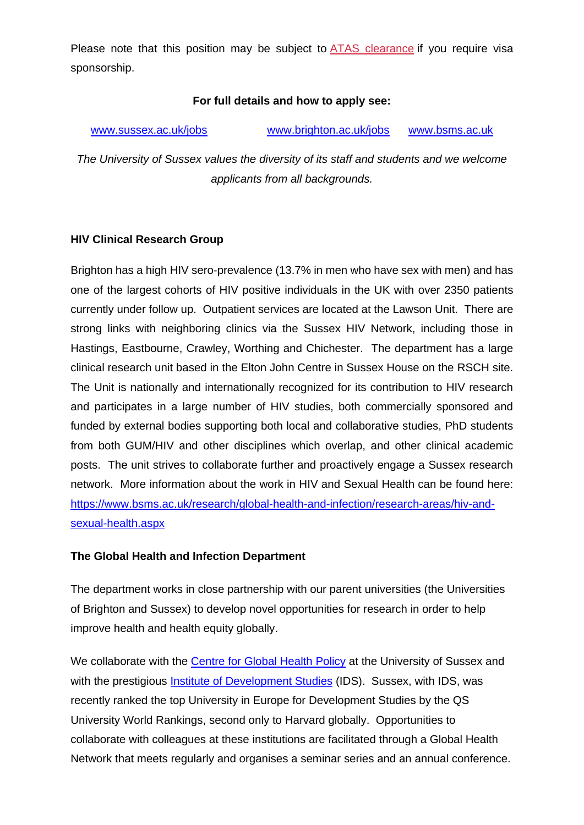Please note that this position may be subject to [ATAS clearance](https://www.gov.uk/guidance/academic-technology-approval-scheme) if you require visa sponsorship.

## **For full details and how to apply see:**

| www.sussex.ac.uk/jobs | www.brighton.ac.uk/jobs | www.bsms.ac.uk |
|-----------------------|-------------------------|----------------|
|                       |                         |                |

*The University of Sussex values the diversity of its staff and students and we welcome applicants from all backgrounds.*

### **HIV Clinical Research Group**

Brighton has a high HIV sero-prevalence (13.7% in men who have sex with men) and has one of the largest cohorts of HIV positive individuals in the UK with over 2350 patients currently under follow up. Outpatient services are located at the Lawson Unit. There are strong links with neighboring clinics via the Sussex HIV Network, including those in Hastings, Eastbourne, Crawley, Worthing and Chichester. The department has a large clinical research unit based in the Elton John Centre in Sussex House on the RSCH site. The Unit is nationally and internationally recognized for its contribution to HIV research and participates in a large number of HIV studies, both commercially sponsored and funded by external bodies supporting both local and collaborative studies, PhD students from both GUM/HIV and other disciplines which overlap, and other clinical academic posts. The unit strives to collaborate further and proactively engage a Sussex research network. More information about the work in HIV and Sexual Health can be found here: [https://www.bsms.ac.uk/research/global-health-and-infection/research-areas/hiv-and](https://www.bsms.ac.uk/research/global-health-and-infection/research-areas/hiv-and-sexual-health.aspx)[sexual-health.aspx](https://www.bsms.ac.uk/research/global-health-and-infection/research-areas/hiv-and-sexual-health.aspx)

## **The Global Health and Infection Department**

The department works in close partnership with our parent universities (the Universities of Brighton and Sussex) to develop novel opportunities for research in order to help improve health and health equity globally.

We collaborate with the [Centre for Global Health Policy](http://www.sussex.ac.uk/globalhealthpolicy/) at the University of Sussex and with the prestigious *Institute of Development Studies* (IDS). Sussex, with IDS, was recently ranked the top University in Europe for Development Studies by the QS University World Rankings, second only to Harvard globally. Opportunities to collaborate with colleagues at these institutions are facilitated through a Global Health Network that meets regularly and organises a seminar series and an annual conference.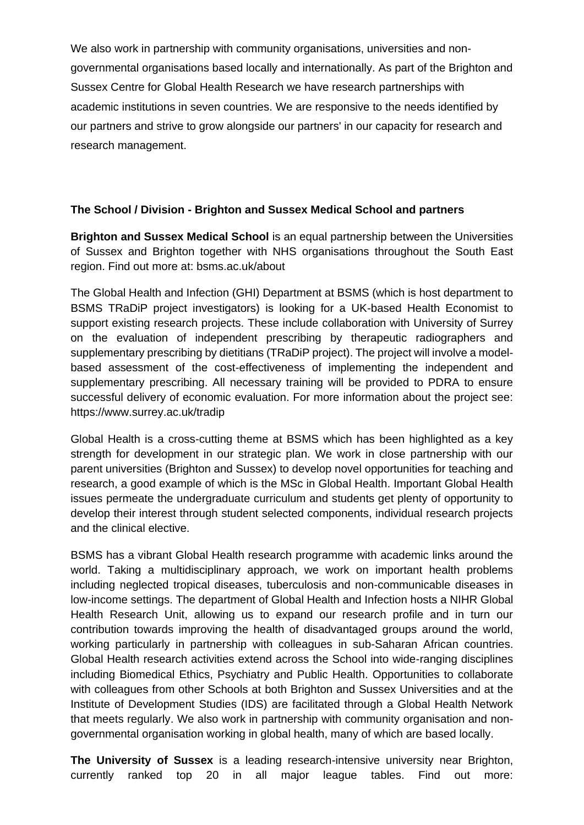We also work in partnership with community organisations, universities and nongovernmental organisations based locally and internationally. As part of the Brighton and Sussex Centre for Global Health Research we have research partnerships with academic institutions in seven countries. We are responsive to the needs identified by our partners and strive to grow alongside our partners' in our capacity for research and research management.

## **The School / Division - Brighton and Sussex Medical School and partners**

**Brighton and Sussex Medical School** is an equal partnership between the Universities of Sussex and Brighton together with NHS organisations throughout the South East region. Find out more at: bsms.ac.uk/about

The Global Health and Infection (GHI) Department at BSMS (which is host department to BSMS TRaDiP project investigators) is looking for a UK-based Health Economist to support existing research projects. These include collaboration with University of Surrey on the evaluation of independent prescribing by therapeutic radiographers and supplementary prescribing by dietitians (TRaDiP project). The project will involve a modelbased assessment of the cost-effectiveness of implementing the independent and supplementary prescribing. All necessary training will be provided to PDRA to ensure successful delivery of economic evaluation. For more information about the project see: https://www.surrey.ac.uk/tradip

Global Health is a cross-cutting theme at BSMS which has been highlighted as a key strength for development in our strategic plan. We work in close partnership with our parent universities (Brighton and Sussex) to develop novel opportunities for teaching and research, a good example of which is the MSc in Global Health. Important Global Health issues permeate the undergraduate curriculum and students get plenty of opportunity to develop their interest through student selected components, individual research projects and the clinical elective.

BSMS has a vibrant Global Health research programme with academic links around the world. Taking a multidisciplinary approach, we work on important health problems including neglected tropical diseases, tuberculosis and non-communicable diseases in low-income settings. The department of Global Health and Infection hosts a NIHR Global Health Research Unit, allowing us to expand our research profile and in turn our contribution towards improving the health of disadvantaged groups around the world, working particularly in partnership with colleagues in sub-Saharan African countries. Global Health research activities extend across the School into wide-ranging disciplines including Biomedical Ethics, Psychiatry and Public Health. Opportunities to collaborate with colleagues from other Schools at both Brighton and Sussex Universities and at the Institute of Development Studies (IDS) are facilitated through a Global Health Network that meets regularly. We also work in partnership with community organisation and nongovernmental organisation working in global health, many of which are based locally.

**The University of Sussex** is a leading research-intensive university near Brighton, currently ranked top 20 in all major league tables. Find out more: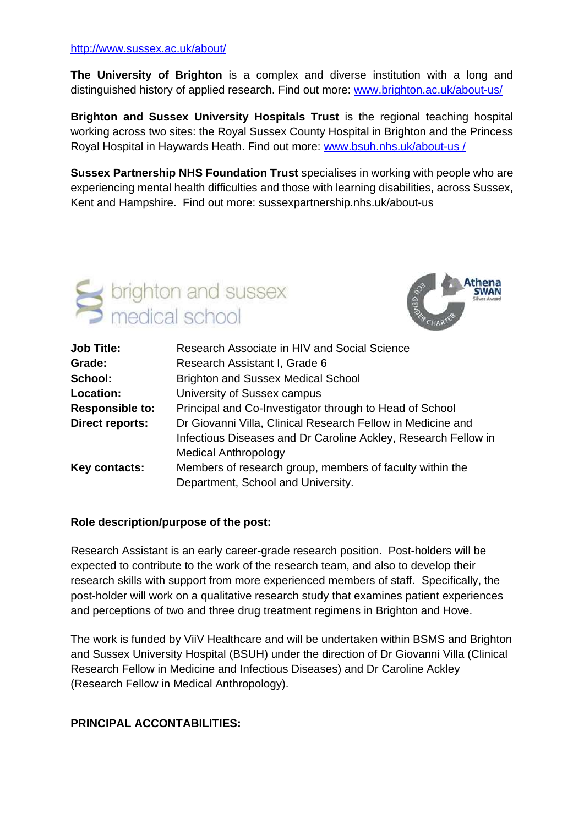#### <http://www.sussex.ac.uk/about/>

**The University of Brighton** is a complex and diverse institution with a long and distinguished history of applied research. Find out more: [www.brighton.ac.uk/about-us/](http://www.brighton.ac.uk/about-us/)

**Brighton and Sussex University Hospitals Trust** is the regional teaching hospital working across two sites: the Royal Sussex County Hospital in Brighton and the Princess Royal Hospital in Haywards Heath. Find out more: [www.bsuh.nhs.uk/about-us /](http://www.bsuh.nhs.uk/about-us%20/)

**Sussex Partnership NHS Foundation Trust** specialises in working with people who are experiencing mental health difficulties and those with learning disabilities, across Sussex, Kent and Hampshire. Find out more: sussexpartnership.nhs.uk/about-us





| <b>Job Title:</b>      | Research Associate in HIV and Social Science                                                   |
|------------------------|------------------------------------------------------------------------------------------------|
| Grade:                 | Research Assistant I, Grade 6                                                                  |
| School:                | <b>Brighton and Sussex Medical School</b>                                                      |
| Location:              | University of Sussex campus                                                                    |
| <b>Responsible to:</b> | Principal and Co-Investigator through to Head of School                                        |
| <b>Direct reports:</b> | Dr Giovanni Villa, Clinical Research Fellow in Medicine and                                    |
|                        | Infectious Diseases and Dr Caroline Ackley, Research Fellow in<br><b>Medical Anthropology</b>  |
| Key contacts:          | Members of research group, members of faculty within the<br>Department, School and University. |

#### **Role description/purpose of the post:**

Research Assistant is an early career-grade research position. Post-holders will be expected to contribute to the work of the research team, and also to develop their research skills with support from more experienced members of staff. Specifically, the post-holder will work on a qualitative research study that examines patient experiences and perceptions of two and three drug treatment regimens in Brighton and Hove.

The work is funded by ViiV Healthcare and will be undertaken within BSMS and Brighton and Sussex University Hospital (BSUH) under the direction of Dr Giovanni Villa (Clinical Research Fellow in Medicine and Infectious Diseases) and Dr Caroline Ackley (Research Fellow in Medical Anthropology).

#### **PRINCIPAL ACCONTABILITIES:**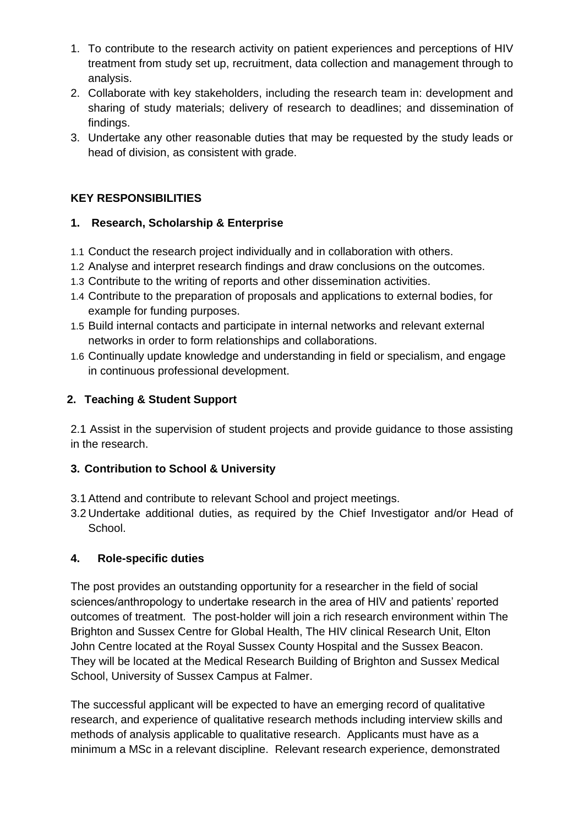- 1. To contribute to the research activity on patient experiences and perceptions of HIV treatment from study set up, recruitment, data collection and management through to analysis.
- 2. Collaborate with key stakeholders, including the research team in: development and sharing of study materials; delivery of research to deadlines; and dissemination of findings.
- 3. Undertake any other reasonable duties that may be requested by the study leads or head of division, as consistent with grade.

# **KEY RESPONSIBILITIES**

## **1. Research, Scholarship & Enterprise**

- 1.1 Conduct the research project individually and in collaboration with others.
- 1.2 Analyse and interpret research findings and draw conclusions on the outcomes.
- 1.3 Contribute to the writing of reports and other dissemination activities.
- 1.4 Contribute to the preparation of proposals and applications to external bodies, for example for funding purposes.
- 1.5 Build internal contacts and participate in internal networks and relevant external networks in order to form relationships and collaborations.
- 1.6 Continually update knowledge and understanding in field or specialism, and engage in continuous professional development.

## **2. Teaching & Student Support**

2.1 Assist in the supervision of student projects and provide guidance to those assisting in the research.

# **3. Contribution to School & University**

- 3.1 Attend and contribute to relevant School and project meetings.
- 3.2 Undertake additional duties, as required by the Chief Investigator and/or Head of School.

## **4. Role-specific duties**

The post provides an outstanding opportunity for a researcher in the field of social sciences/anthropology to undertake research in the area of HIV and patients' reported outcomes of treatment. The post-holder will join a rich research environment within The Brighton and Sussex Centre for Global Health, The HIV clinical Research Unit, Elton John Centre located at the Royal Sussex County Hospital and the Sussex Beacon. They will be located at the Medical Research Building of Brighton and Sussex Medical School, University of Sussex Campus at Falmer.

The successful applicant will be expected to have an emerging record of qualitative research, and experience of qualitative research methods including interview skills and methods of analysis applicable to qualitative research. Applicants must have as a minimum a MSc in a relevant discipline. Relevant research experience, demonstrated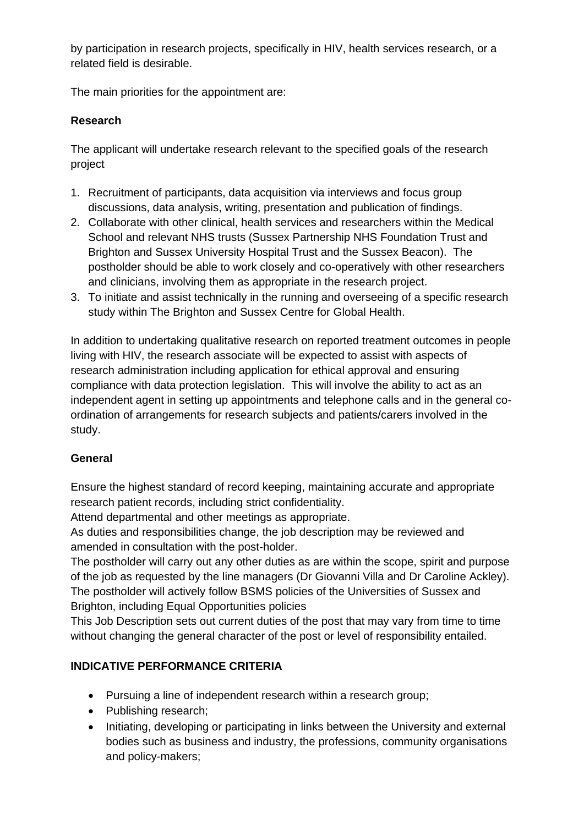by participation in research projects, specifically in HIV, health services research, or a related field is desirable.

The main priorities for the appointment are:

# **Research**

The applicant will undertake research relevant to the specified goals of the research project

- 1. Recruitment of participants, data acquisition via interviews and focus group discussions, data analysis, writing, presentation and publication of findings.
- 2. Collaborate with other clinical, health services and researchers within the Medical School and relevant NHS trusts (Sussex Partnership NHS Foundation Trust and Brighton and Sussex University Hospital Trust and the Sussex Beacon). The postholder should be able to work closely and co-operatively with other researchers and clinicians, involving them as appropriate in the research project.
- 3. To initiate and assist technically in the running and overseeing of a specific research study within The Brighton and Sussex Centre for Global Health.

In addition to undertaking qualitative research on reported treatment outcomes in people living with HIV, the research associate will be expected to assist with aspects of research administration including application for ethical approval and ensuring compliance with data protection legislation. This will involve the ability to act as an independent agent in setting up appointments and telephone calls and in the general coordination of arrangements for research subjects and patients/carers involved in the study.

# **General**

Ensure the highest standard of record keeping, maintaining accurate and appropriate research patient records, including strict confidentiality.

Attend departmental and other meetings as appropriate.

As duties and responsibilities change, the job description may be reviewed and amended in consultation with the post-holder.

The postholder will carry out any other duties as are within the scope, spirit and purpose of the job as requested by the line managers (Dr Giovanni Villa and Dr Caroline Ackley). The postholder will actively follow BSMS policies of the Universities of Sussex and Brighton, including Equal Opportunities policies

This Job Description sets out current duties of the post that may vary from time to time without changing the general character of the post or level of responsibility entailed.

# **INDICATIVE PERFORMANCE CRITERIA**

- Pursuing a line of independent research within a research group;
- Publishing research;
- Initiating, developing or participating in links between the University and external bodies such as business and industry, the professions, community organisations and policy-makers;